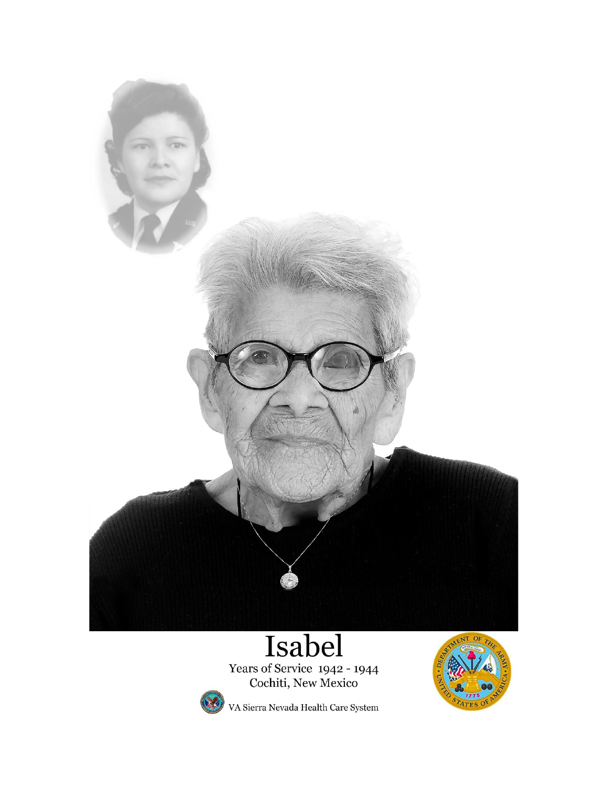

Years of Service 1942 - 1944<br>Cochiti, New Mexico





VA Sierra Nevada Health Care System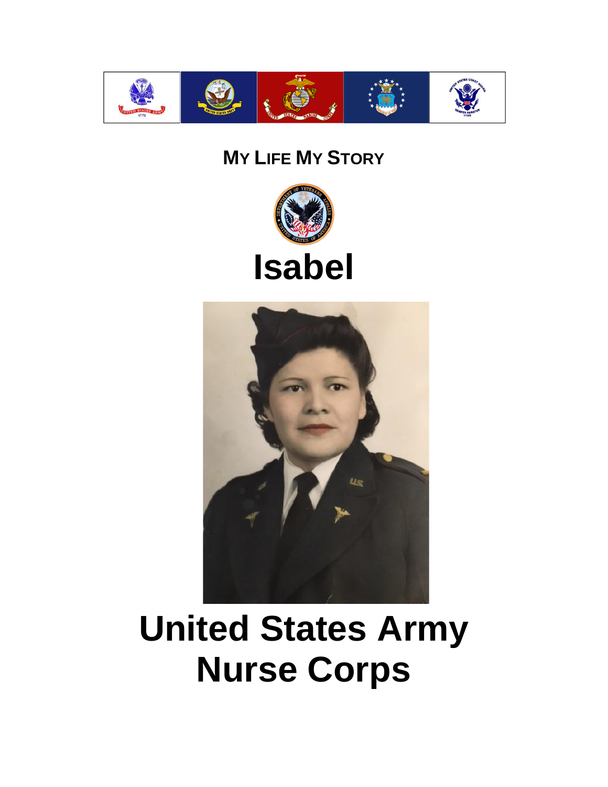

#### **MY LIFE MY STORY**







# **United States Army Nurse Corps**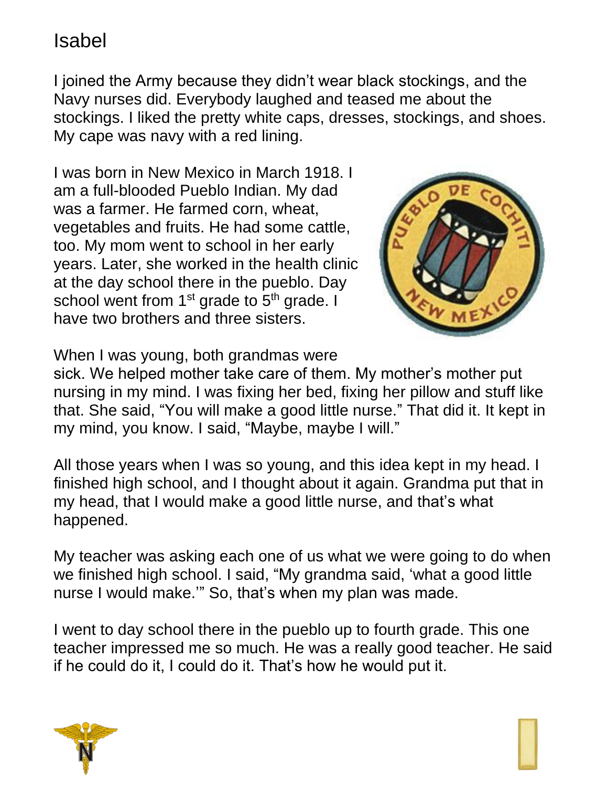I joined the Army because they didn't wear black stockings, and the Navy nurses did. Everybody laughed and teased me about the stockings. I liked the pretty white caps, dresses, stockings, and shoes. My cape was navy with a red lining.

I was born in New Mexico in March 1918. I am a full-blooded Pueblo Indian. My dad was a farmer. He farmed corn, wheat, vegetables and fruits. He had some cattle, too. My mom went to school in her early years. Later, she worked in the health clinic at the day school there in the pueblo. Day school went from  $1<sup>st</sup>$  grade to  $5<sup>th</sup>$  grade. I have two brothers and three sisters.



When I was young, both grandmas were

sick. We helped mother take care of them. My mother's mother put nursing in my mind. I was fixing her bed, fixing her pillow and stuff like that. She said, "You will make a good little nurse." That did it. It kept in my mind, you know. I said, "Maybe, maybe I will."

All those years when I was so young, and this idea kept in my head. I finished high school, and I thought about it again. Grandma put that in my head, that I would make a good little nurse, and that's what happened.

My teacher was asking each one of us what we were going to do when we finished high school. I said, "My grandma said, 'what a good little nurse I would make.'" So, that's when my plan was made.

I went to day school there in the pueblo up to fourth grade. This one teacher impressed me so much. He was a really good teacher. He said if he could do it, I could do it. That's how he would put it.

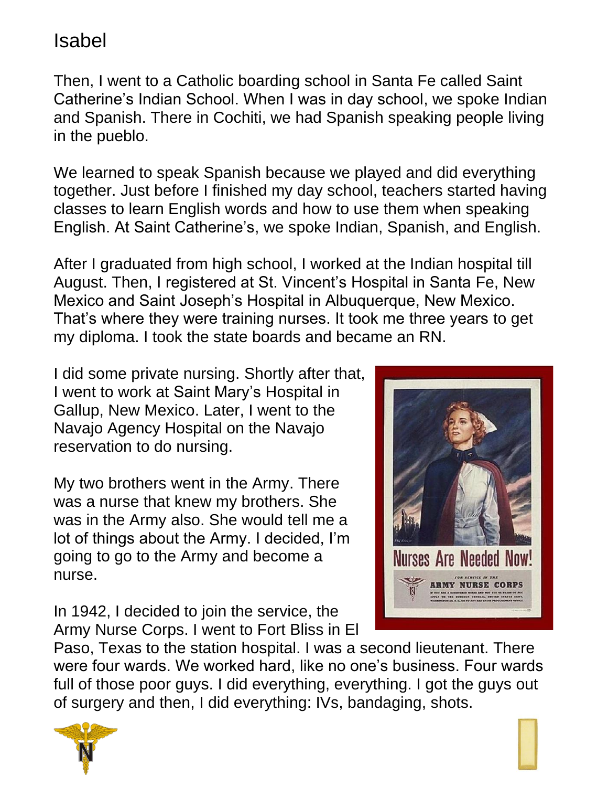Then, I went to a Catholic boarding school in Santa Fe called Saint Catherine's Indian School. When I was in day school, we spoke Indian and Spanish. There in Cochiti, we had Spanish speaking people living in the pueblo.

We learned to speak Spanish because we played and did everything together. Just before I finished my day school, teachers started having classes to learn English words and how to use them when speaking English. At Saint Catherine's, we spoke Indian, Spanish, and English.

After I graduated from high school, I worked at the Indian hospital till August. Then, I registered at St. Vincent's Hospital in Santa Fe, New Mexico and Saint Joseph's Hospital in Albuquerque, New Mexico. That's where they were training nurses. It took me three years to get my diploma. I took the state boards and became an RN.

I did some private nursing. Shortly after that, I went to work at Saint Mary's Hospital in Gallup, New Mexico. Later, I went to the Navajo Agency Hospital on the Navajo reservation to do nursing.

My two brothers went in the Army. There was a nurse that knew my brothers. She was in the Army also. She would tell me a lot of things about the Army. I decided, I'm going to go to the Army and become a nurse.

In 1942, I decided to join the service, the Army Nurse Corps. I went to Fort Bliss in El



Paso, Texas to the station hospital. I was a second lieutenant. There were four wards. We worked hard, like no one's business. Four wards full of those poor guys. I did everything, everything. I got the guys out of surgery and then, I did everything: IVs, bandaging, shots.



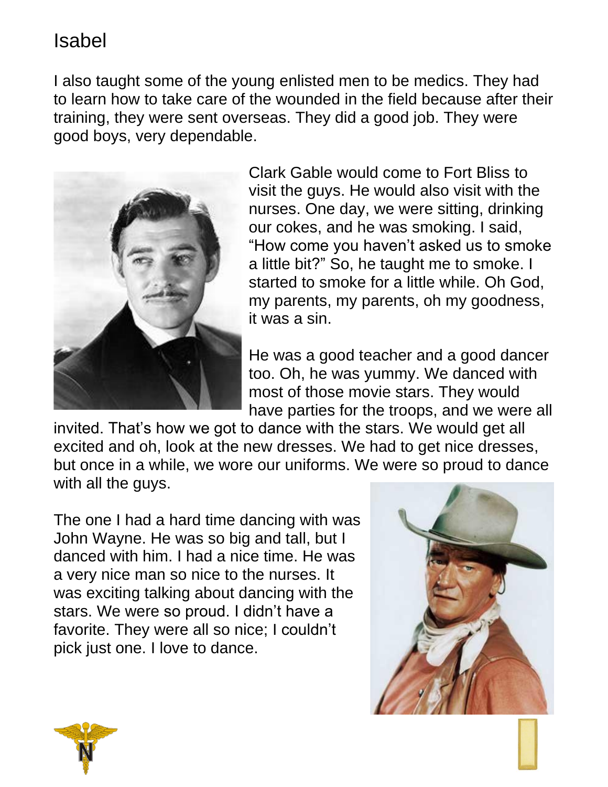I also taught some of the young enlisted men to be medics. They had to learn how to take care of the wounded in the field because after their training, they were sent overseas. They did a good job. They were good boys, very dependable.



Clark Gable would come to Fort Bliss to visit the guys. He would also visit with the nurses. One day, we were sitting, drinking our cokes, and he was smoking. I said, "How come you haven't asked us to smoke a little bit?" So, he taught me to smoke. I started to smoke for a little while. Oh God, my parents, my parents, oh my goodness, it was a sin.

He was a good teacher and a good dancer too. Oh, he was yummy. We danced with most of those movie stars. They would have parties for the troops, and we were all

invited. That's how we got to dance with the stars. We would get all excited and oh, look at the new dresses. We had to get nice dresses, but once in a while, we wore our uniforms. We were so proud to dance with all the guys.

The one I had a hard time dancing with was John Wayne. He was so big and tall, but I danced with him. I had a nice time. He was a very nice man so nice to the nurses. It was exciting talking about dancing with the stars. We were so proud. I didn't have a favorite. They were all so nice; I couldn't pick just one. I love to dance.



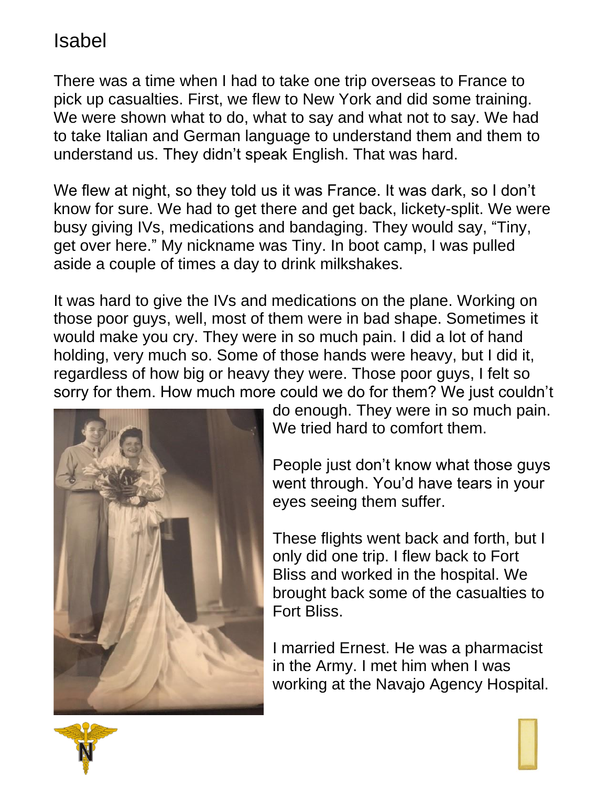There was a time when I had to take one trip overseas to France to pick up casualties. First, we flew to New York and did some training. We were shown what to do, what to say and what not to say. We had to take Italian and German language to understand them and them to understand us. They didn't speak English. That was hard.

We flew at night, so they told us it was France. It was dark, so I don't know for sure. We had to get there and get back, lickety-split. We were busy giving IVs, medications and bandaging. They would say, "Tiny, get over here." My nickname was Tiny. In boot camp, I was pulled aside a couple of times a day to drink milkshakes.

It was hard to give the IVs and medications on the plane. Working on those poor guys, well, most of them were in bad shape. Sometimes it would make you cry. They were in so much pain. I did a lot of hand holding, very much so. Some of those hands were heavy, but I did it, regardless of how big or heavy they were. Those poor guys, I felt so sorry for them. How much more could we do for them? We just couldn't



do enough. They were in so much pain. We tried hard to comfort them.

People just don't know what those guys went through. You'd have tears in your eyes seeing them suffer.

These flights went back and forth, but I only did one trip. I flew back to Fort Bliss and worked in the hospital. We brought back some of the casualties to Fort Bliss.

I married Ernest. He was a pharmacist in the Army. I met him when I was working at the Navajo Agency Hospital.

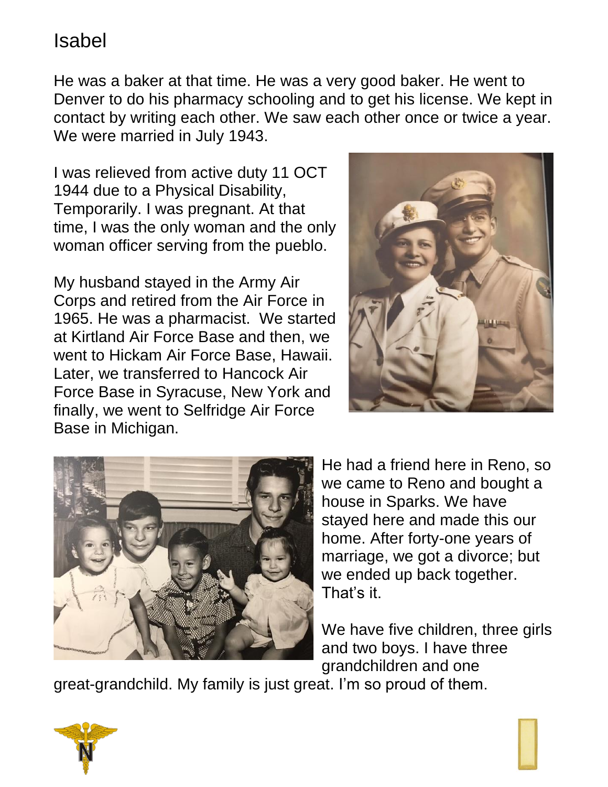He was a baker at that time. He was a very good baker. He went to Denver to do his pharmacy schooling and to get his license. We kept in contact by writing each other. We saw each other once or twice a year. We were married in July 1943.

I was relieved from active duty 11 OCT 1944 due to a Physical Disability, Temporarily. I was pregnant. At that time, I was the only woman and the only woman officer serving from the pueblo.

My husband stayed in the Army Air Corps and retired from the Air Force in 1965. He was a pharmacist. We started at Kirtland Air Force Base and then, we went to Hickam Air Force Base, Hawaii. Later, we transferred to Hancock Air Force Base in Syracuse, New York and finally, we went to Selfridge Air Force Base in Michigan.





He had a friend here in Reno, so we came to Reno and bought a house in Sparks. We have stayed here and made this our home. After forty-one years of marriage, we got a divorce; but we ended up back together. That's it.

We have five children, three girls and two boys. I have three grandchildren and one

great-grandchild. My family is just great. I'm so proud of them.



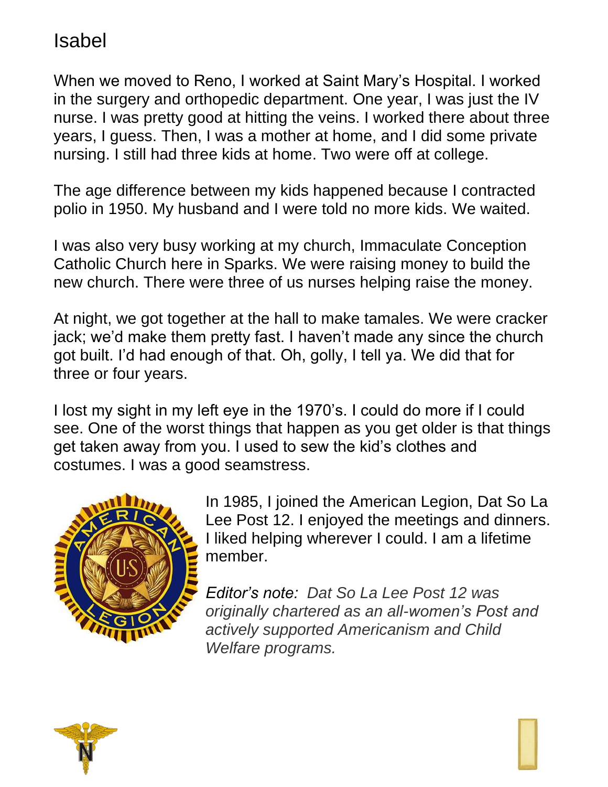When we moved to Reno, I worked at Saint Mary's Hospital. I worked in the surgery and orthopedic department. One year, I was just the IV nurse. I was pretty good at hitting the veins. I worked there about three years, I guess. Then, I was a mother at home, and I did some private nursing. I still had three kids at home. Two were off at college.

The age difference between my kids happened because I contracted polio in 1950. My husband and I were told no more kids. We waited.

I was also very busy working at my church, Immaculate Conception Catholic Church here in Sparks. We were raising money to build the new church. There were three of us nurses helping raise the money.

At night, we got together at the hall to make tamales. We were cracker jack; we'd make them pretty fast. I haven't made any since the church got built. I'd had enough of that. Oh, golly, I tell ya. We did that for three or four years.

I lost my sight in my left eye in the 1970's. I could do more if I could see. One of the worst things that happen as you get older is that things get taken away from you. I used to sew the kid's clothes and costumes. I was a good seamstress.



In 1985, I joined the American Legion, Dat So La Lee Post 12. I enjoyed the meetings and dinners. I liked helping wherever I could. I am a lifetime member.

*Editor's note: Dat So La Lee Post 12 was originally chartered as an all-women's Post and actively supported Americanism and Child Welfare programs.*